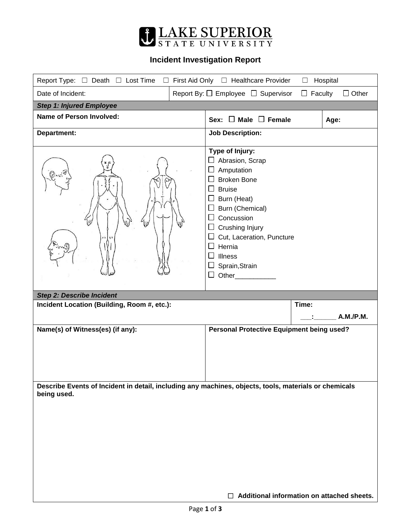

## **Incident Investigation Report**

| Report Type: $\Box$ Death $\Box$ Lost Time<br>First Aid Only □ Healthcare Provider<br>Hospital<br>$\Box$<br>$\Box$ |                                                                                                                                                                                                                                                                |  |  |
|--------------------------------------------------------------------------------------------------------------------|----------------------------------------------------------------------------------------------------------------------------------------------------------------------------------------------------------------------------------------------------------------|--|--|
| $\Box$ Faculty<br>$\Box$ Other<br>Date of Incident:<br>Report By: $\Box$ Employee $\Box$ Supervisor                |                                                                                                                                                                                                                                                                |  |  |
| <b>Step 1: Injured Employee</b>                                                                                    |                                                                                                                                                                                                                                                                |  |  |
| <b>Name of Person Involved:</b>                                                                                    | Sex: $\Box$ Male $\Box$ Female<br>Age:                                                                                                                                                                                                                         |  |  |
| Department:                                                                                                        | <b>Job Description:</b>                                                                                                                                                                                                                                        |  |  |
| $^{\prime}$                                                                                                        | Type of Injury:<br>Abrasion, Scrap<br>Amputation<br><b>Broken Bone</b><br><b>Bruise</b><br>Burn (Heat)<br>Burn (Chemical)<br>Concussion<br>⊔<br>Crushing Injury<br>Cut, Laceration, Puncture<br>Hernia<br><b>Illness</b><br>Sprain, Strain<br>Other___________ |  |  |
| <b>Step 2: Describe Incident</b>                                                                                   | Time:                                                                                                                                                                                                                                                          |  |  |
| Incident Location (Building, Room #, etc.):                                                                        | A.M./P.M.                                                                                                                                                                                                                                                      |  |  |
| Name(s) of Witness(es) (if any):                                                                                   | Personal Protective Equipment being used?                                                                                                                                                                                                                      |  |  |
|                                                                                                                    |                                                                                                                                                                                                                                                                |  |  |
|                                                                                                                    |                                                                                                                                                                                                                                                                |  |  |
|                                                                                                                    |                                                                                                                                                                                                                                                                |  |  |
| being used.                                                                                                        | Describe Events of Incident in detail, including any machines, objects, tools, materials or chemicals                                                                                                                                                          |  |  |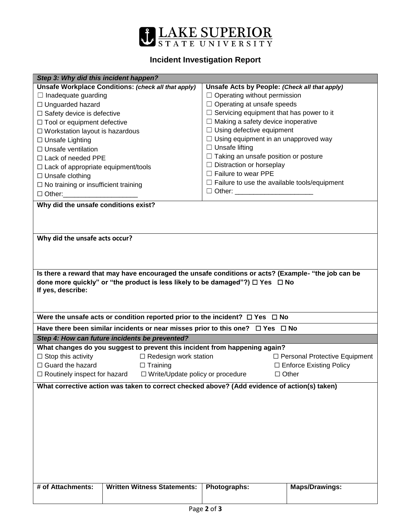

## **Incident Investigation Report**

|                                                                                                     |                                                     | Step 3: Why did this incident happen?           |  |  |  |  |
|-----------------------------------------------------------------------------------------------------|-----------------------------------------------------|-------------------------------------------------|--|--|--|--|
| Unsafe Workplace Conditions: (check all that apply)                                                 | Unsafe Acts by People: (Check all that apply)       |                                                 |  |  |  |  |
| $\Box$ Inadequate guarding                                                                          | $\Box$ Operating without permission                 |                                                 |  |  |  |  |
| □ Unguarded hazard                                                                                  | $\Box$ Operating at unsafe speeds                   |                                                 |  |  |  |  |
| $\Box$ Safety device is defective                                                                   |                                                     | $\Box$ Servicing equipment that has power to it |  |  |  |  |
| $\Box$ Tool or equipment defective                                                                  |                                                     | $\Box$ Making a safety device inoperative       |  |  |  |  |
| $\Box$ Workstation layout is hazardous                                                              | $\Box$ Using defective equipment                    |                                                 |  |  |  |  |
| $\Box$ Unsafe Lighting                                                                              | $\Box$ Using equipment in an unapproved way         |                                                 |  |  |  |  |
| $\Box$ Unsafe ventilation                                                                           | $\Box$ Unsafe lifting                               |                                                 |  |  |  |  |
| $\Box$ Lack of needed PPE                                                                           |                                                     | $\Box$ Taking an unsafe position or posture     |  |  |  |  |
| $\Box$ Lack of appropriate equipment/tools                                                          |                                                     | $\Box$ Distraction or horseplay                 |  |  |  |  |
| $\Box$ Unsafe clothing                                                                              | $\Box$ Failure to wear PPE                          |                                                 |  |  |  |  |
| $\Box$ No training or insufficient training                                                         | $\Box$ Failure to use the available tools/equipment |                                                 |  |  |  |  |
| □ Other: ________________________                                                                   | □ Other: _________________________                  |                                                 |  |  |  |  |
| Why did the unsafe conditions exist?                                                                |                                                     |                                                 |  |  |  |  |
|                                                                                                     |                                                     |                                                 |  |  |  |  |
|                                                                                                     |                                                     |                                                 |  |  |  |  |
|                                                                                                     |                                                     |                                                 |  |  |  |  |
| Why did the unsafe acts occur?                                                                      |                                                     |                                                 |  |  |  |  |
|                                                                                                     |                                                     |                                                 |  |  |  |  |
|                                                                                                     |                                                     |                                                 |  |  |  |  |
|                                                                                                     |                                                     |                                                 |  |  |  |  |
| Is there a reward that may have encouraged the unsafe conditions or acts? (Example- "the job can be |                                                     |                                                 |  |  |  |  |
| done more quickly" or "the product is less likely to be damaged"?) $\Box$ Yes $\Box$ No             |                                                     |                                                 |  |  |  |  |
| If yes, describe:                                                                                   |                                                     |                                                 |  |  |  |  |
|                                                                                                     |                                                     |                                                 |  |  |  |  |
|                                                                                                     |                                                     |                                                 |  |  |  |  |
|                                                                                                     |                                                     |                                                 |  |  |  |  |
| Were the unsafe acts or condition reported prior to the incident? $\Box$ Yes $\Box$ No              |                                                     |                                                 |  |  |  |  |
| Have there been similar incidents or near misses prior to this one? $\Box$ Yes $\Box$ No            |                                                     |                                                 |  |  |  |  |
| Step 4: How can future incidents be prevented?                                                      |                                                     |                                                 |  |  |  |  |
| What changes do you suggest to prevent this incident from happening again?                          |                                                     |                                                 |  |  |  |  |
| $\Box$ Stop this activity<br>$\Box$ Redesign work station                                           |                                                     | □ Personal Protective Equipment                 |  |  |  |  |
| $\Box$ Guard the hazard<br>$\Box$ Training                                                          |                                                     | □ Enforce Existing Policy                       |  |  |  |  |
| $\Box$ Routinely inspect for hazard $\Box$ Write/Update policy or procedure                         |                                                     | $\Box$ Other                                    |  |  |  |  |
|                                                                                                     |                                                     |                                                 |  |  |  |  |
| What corrective action was taken to correct checked above? (Add evidence of action(s) taken)        |                                                     |                                                 |  |  |  |  |
|                                                                                                     |                                                     |                                                 |  |  |  |  |
|                                                                                                     |                                                     |                                                 |  |  |  |  |
|                                                                                                     |                                                     |                                                 |  |  |  |  |
|                                                                                                     |                                                     |                                                 |  |  |  |  |
|                                                                                                     |                                                     |                                                 |  |  |  |  |
|                                                                                                     |                                                     |                                                 |  |  |  |  |
|                                                                                                     |                                                     |                                                 |  |  |  |  |
|                                                                                                     |                                                     |                                                 |  |  |  |  |
|                                                                                                     |                                                     |                                                 |  |  |  |  |
|                                                                                                     |                                                     |                                                 |  |  |  |  |
| # of Attachments:<br><b>Written Witness Statements:</b>                                             | Photographs:                                        | <b>Maps/Drawings:</b>                           |  |  |  |  |